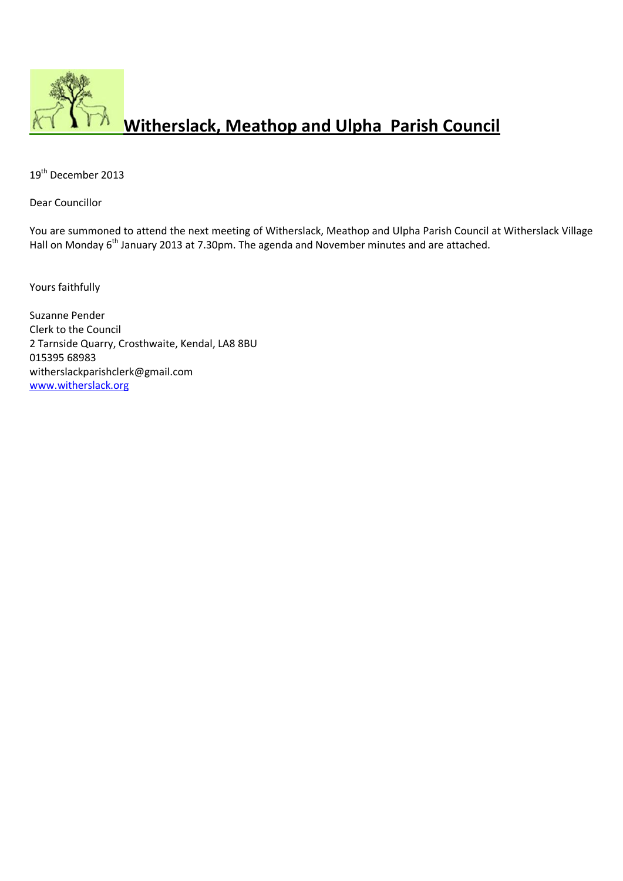

19<sup>th</sup> December 2013

Dear Councillor

You are summoned to attend the next meeting of Witherslack, Meathop and Ulpha Parish Council at Witherslack Village Hall on Monday 6<sup>th</sup> January 2013 at 7.30pm. The agenda and November minutes and are attached.

Yours faithfully

Suzanne Pender Clerk to the Council 2 Tarnside Quarry, Crosthwaite, Kendal, LA8 8BU 015395 68983 witherslackparishclerk@gmail.com [www.witherslack.org](http://www.witherslack.org/)